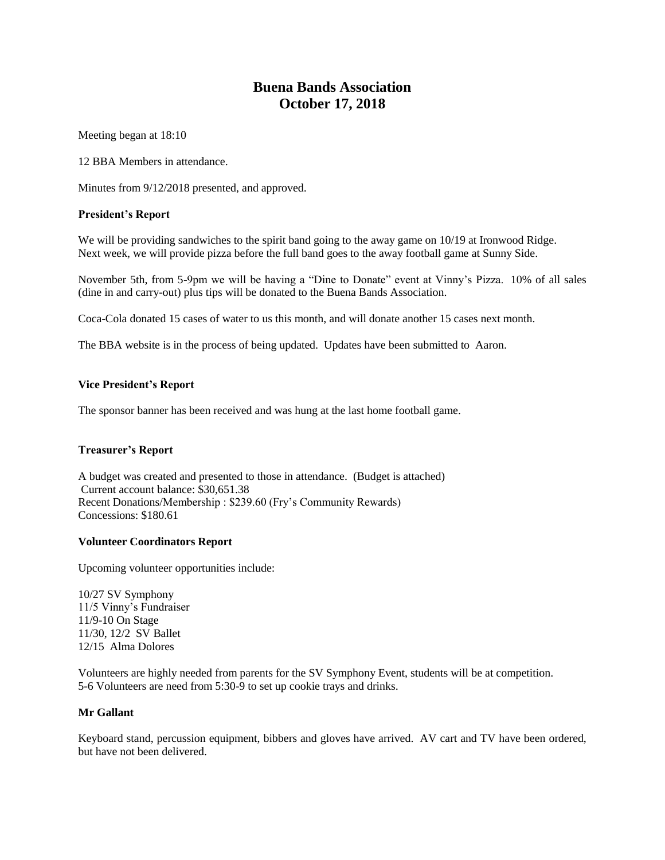# **Buena Bands Association October 17, 2018**

Meeting began at 18:10

12 BBA Members in attendance.

Minutes from 9/12/2018 presented, and approved.

# **President's Report**

We will be providing sandwiches to the spirit band going to the away game on  $10/19$  at Ironwood Ridge. Next week, we will provide pizza before the full band goes to the away football game at Sunny Side.

November 5th, from 5-9pm we will be having a "Dine to Donate" event at Vinny's Pizza. 10% of all sales (dine in and carry-out) plus tips will be donated to the Buena Bands Association.

Coca-Cola donated 15 cases of water to us this month, and will donate another 15 cases next month.

The BBA website is in the process of being updated. Updates have been submitted to Aaron.

# **Vice President's Report**

The sponsor banner has been received and was hung at the last home football game.

## **Treasurer's Report**

A budget was created and presented to those in attendance. (Budget is attached) Current account balance: \$30,651.38 Recent Donations/Membership : \$239.60 (Fry's Community Rewards) Concessions: \$180.61

## **Volunteer Coordinators Report**

Upcoming volunteer opportunities include:

10/27 SV Symphony 11/5 Vinny's Fundraiser 11/9-10 On Stage 11/30, 12/2 SV Ballet 12/15 Alma Dolores

Volunteers are highly needed from parents for the SV Symphony Event, students will be at competition. 5-6 Volunteers are need from 5:30-9 to set up cookie trays and drinks.

## **Mr Gallant**

Keyboard stand, percussion equipment, bibbers and gloves have arrived. AV cart and TV have been ordered, but have not been delivered.